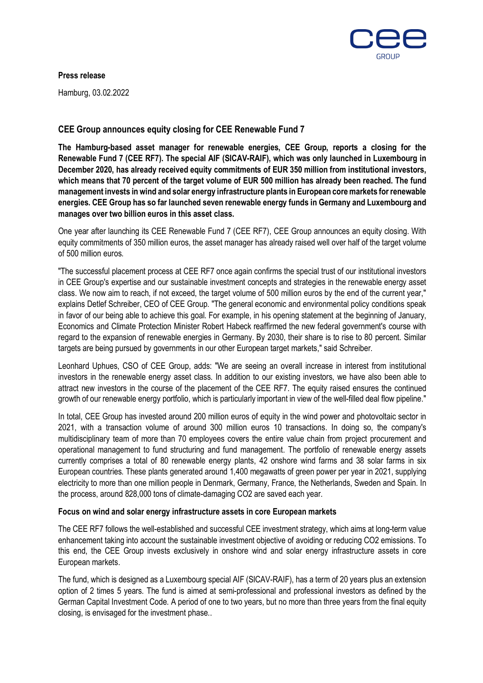

#### **Press release**

Hamburg, 03.02.2022

# **CEE Group announces equity closing for CEE Renewable Fund 7**

**The Hamburg-based asset manager for renewable energies, CEE Group, reports a closing for the Renewable Fund 7 (CEE RF7). The special AIF (SICAV-RAIF), which was only launched in Luxembourg in December 2020, has already received equity commitments of EUR 350 million from institutional investors, which means that 70 percent of the target volume of EUR 500 million has already been reached. The fund management invests in wind and solar energy infrastructure plants in European core markets for renewable energies. CEE Group has so far launched seven renewable energy funds in Germany and Luxembourg and manages over two billion euros in this asset class.**

One year after launching its CEE Renewable Fund 7 (CEE RF7), CEE Group announces an equity closing. With equity commitments of 350 million euros, the asset manager has already raised well over half of the target volume of 500 million euros.

"The successful placement process at CEE RF7 once again confirms the special trust of our institutional investors in CEE Group's expertise and our sustainable investment concepts and strategies in the renewable energy asset class. We now aim to reach, if not exceed, the target volume of 500 million euros by the end of the current year," explains Detlef Schreiber, CEO of CEE Group. "The general economic and environmental policy conditions speak in favor of our being able to achieve this goal. For example, in his opening statement at the beginning of January, Economics and Climate Protection Minister Robert Habeck reaffirmed the new federal government's course with regard to the expansion of renewable energies in Germany. By 2030, their share is to rise to 80 percent. Similar targets are being pursued by governments in our other European target markets," said Schreiber.

Leonhard Uphues, CSO of CEE Group, adds: "We are seeing an overall increase in interest from institutional investors in the renewable energy asset class. In addition to our existing investors, we have also been able to attract new investors in the course of the placement of the CEE RF7. The equity raised ensures the continued growth of our renewable energy portfolio, which is particularly important in view of the well-filled deal flow pipeline."

In total, CEE Group has invested around 200 million euros of equity in the wind power and photovoltaic sector in 2021, with a transaction volume of around 300 million euros 10 transactions. In doing so, the company's multidisciplinary team of more than 70 employees covers the entire value chain from project procurement and operational management to fund structuring and fund management. The portfolio of renewable energy assets currently comprises a total of 80 renewable energy plants, 42 onshore wind farms and 38 solar farms in six European countries. These plants generated around 1,400 megawatts of green power per year in 2021, supplying electricity to more than one million people in Denmark, Germany, France, the Netherlands, Sweden and Spain. In the process, around 828,000 tons of climate-damaging CO2 are saved each year.

# **Focus on wind and solar energy infrastructure assets in core European markets**

The CEE RF7 follows the well-established and successful CEE investment strategy, which aims at long-term value enhancement taking into account the sustainable investment objective of avoiding or reducing CO2 emissions. To this end, the CEE Group invests exclusively in onshore wind and solar energy infrastructure assets in core European markets.

The fund, which is designed as a Luxembourg special AIF (SICAV-RAIF), has a term of 20 years plus an extension option of 2 times 5 years. The fund is aimed at semi-professional and professional investors as defined by the German Capital Investment Code. A period of one to two years, but no more than three years from the final equity closing, is envisaged for the investment phase..